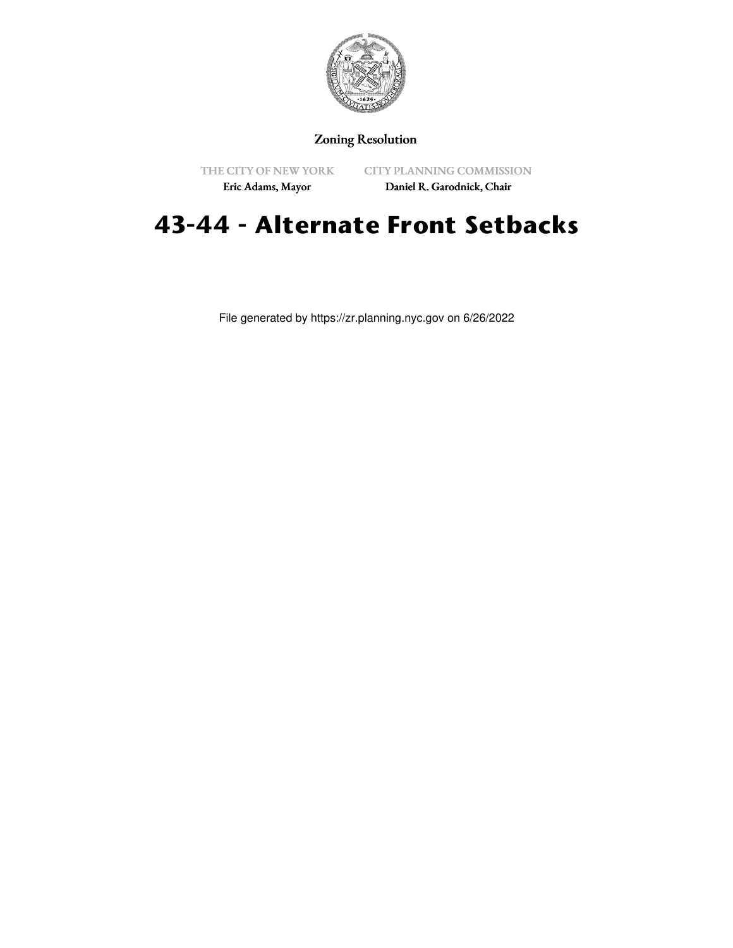

## Zoning Resolution

THE CITY OF NEW YORK Eric Adams, Mayor

CITY PLANNING COMMISSION

Daniel R. Garodnick, Chair

# **43-44 - Alternate Front Setbacks**

File generated by https://zr.planning.nyc.gov on 6/26/2022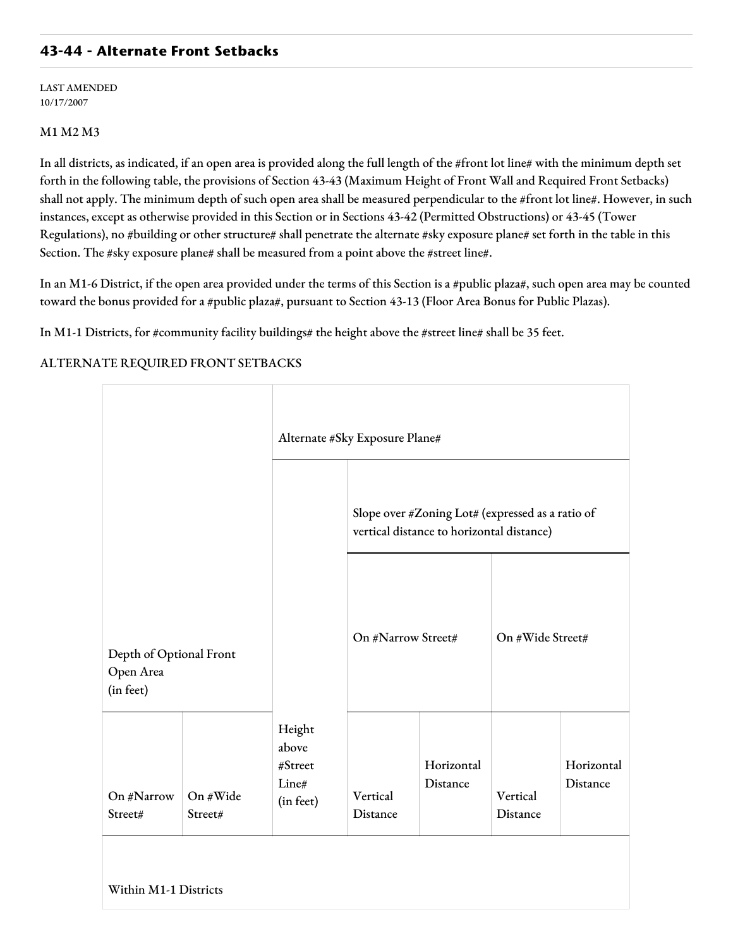### **43-44 - Alternate Front Setbacks**

LAST AMENDED 10/17/2007

#### M1 M2 M3

In all districts, as indicated, if an open area is provided along the full length of the #front lot line# with the minimum depth set forth in the following table, the provisions of Section 43-43 (Maximum Height of Front Wall and Required Front Setbacks) shall not apply. The minimum depth of such open area shall be measured perpendicular to the #front lot line#. However, in such instances, except as otherwise provided in this Section or in Sections 43-42 (Permitted Obstructions) or 43-45 (Tower Regulations), no #building or other structure# shall penetrate the alternate #sky exposure plane# set forth in the table in this Section. The #sky exposure plane# shall be measured from a point above the #street line#.

In an M1-6 District, if the open area provided under the terms of this Section is a #public plaza#, such open area may be counted toward the bonus provided for a #public plaza#, pursuant to Section 43-13 (Floor Area Bonus for Public Plazas).

In M1-1 Districts, for #community facility buildings# the height above the #street line# shall be 35 feet.

#### ALTERNATE REQUIRED FRONT SETBACKS

|                                                   |                     |                                                  | Alternate #Sky Exposure Plane#                                                                |                        |                      |                        |  |  |
|---------------------------------------------------|---------------------|--------------------------------------------------|-----------------------------------------------------------------------------------------------|------------------------|----------------------|------------------------|--|--|
|                                                   |                     |                                                  | Slope over #Zoning Lot# (expressed as a ratio of<br>vertical distance to horizontal distance) |                        |                      |                        |  |  |
| Depth of Optional Front<br>Open Area<br>(in feet) |                     |                                                  | On #Narrow Street#                                                                            |                        | On #Wide Street#     |                        |  |  |
| On #Narrow<br>Street#                             | On #Wide<br>Street# | Height<br>above<br>#Street<br>Line#<br>(in feet) | Vertical<br>Distance                                                                          | Horizontal<br>Distance | Vertical<br>Distance | Horizontal<br>Distance |  |  |
| Within M1-1 Districts                             |                     |                                                  |                                                                                               |                        |                      |                        |  |  |